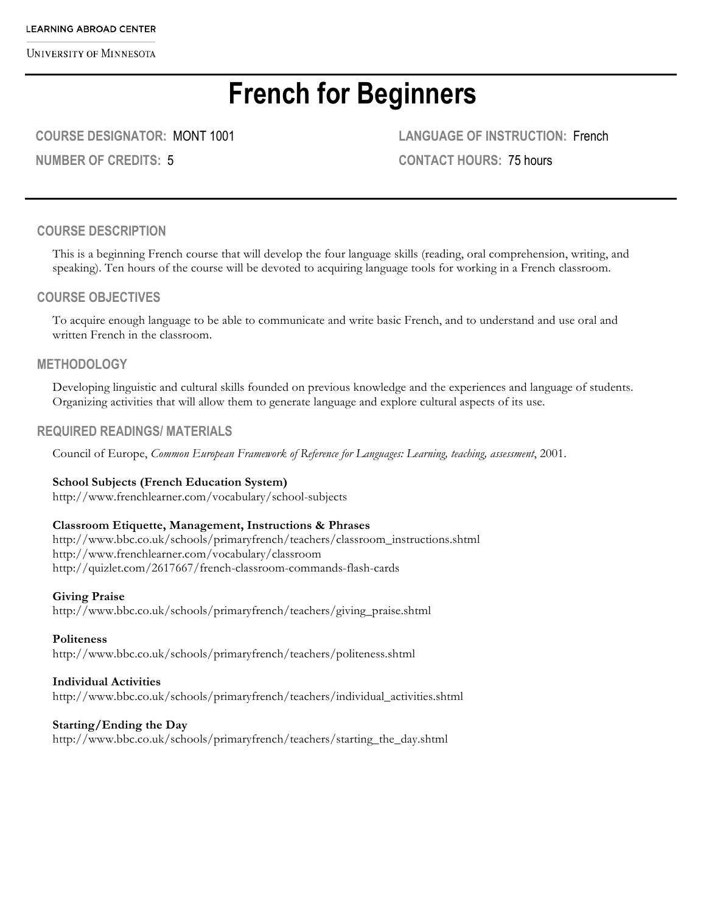# **French for Beginners**

**COURSE DESIGNATOR:** MONT 1001

**NUMBER OF CREDITS:** 5

**LANGUAGE OF INSTRUCTION:** French **CONTACT HOURS:** 75 hours

#### **COURSE DESCRIPTION**

This is a beginning French course that will develop the four language skills (reading, oral comprehension, writing, and speaking). Ten hours of the course will be devoted to acquiring language tools for working in a French classroom.

#### **COURSE OBJECTIVES**

To acquire enough language to be able to communicate and write basic French, and to understand and use oral and written French in the classroom.

#### **METHODOLOGY**

Developing linguistic and cultural skills founded on previous knowledge and the experiences and language of students. Organizing activities that will allow them to generate language and explore cultural aspects of its use.

#### **REQUIRED READINGS/ MATERIALS**

Council of Europe, *Common European Framework of Reference for Languages: Learning, teaching, assessment*, 2001.

#### **School Subjects (French Education System)**

http://www.frenchlearner.com/vocabulary/school-subjects

#### **Classroom Etiquette, Management, Instructions & Phrases**

http://www.bbc.co.uk/schools/primaryfrench/teachers/classroom\_instructions.shtml http://www.frenchlearner.com/vocabulary/classroom http://quizlet.com/2617667/french-classroom-commands-flash-cards

#### **Giving Praise**

http://www.bbc.co.uk/schools/primaryfrench/teachers/giving\_praise.shtml

#### **Politeness**

http://www.bbc.co.uk/schools/primaryfrench/teachers/politeness.shtml

#### **Individual Activities**

http://www.bbc.co.uk/schools/primaryfrench/teachers/individual\_activities.shtml

#### **Starting/Ending the Day**

http://www.bbc.co.uk/schools/primaryfrench/teachers/starting\_the\_day.shtml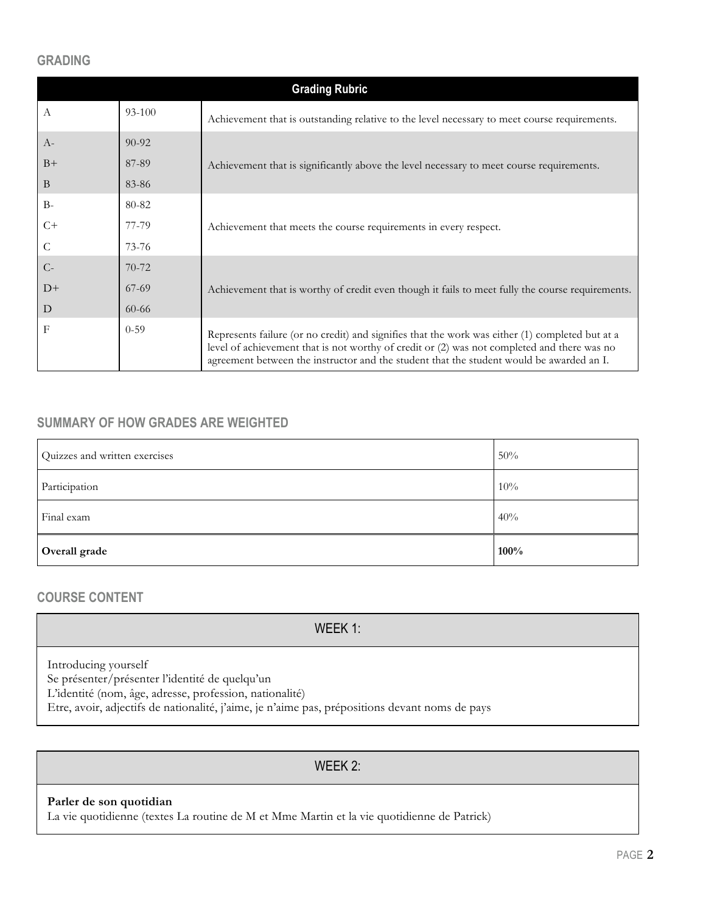#### **GRADING**

| <b>Grading Rubric</b> |            |                                                                                                                                                                                                                                                                                            |  |
|-----------------------|------------|--------------------------------------------------------------------------------------------------------------------------------------------------------------------------------------------------------------------------------------------------------------------------------------------|--|
| A                     | $93 - 100$ | Achievement that is outstanding relative to the level necessary to meet course requirements.                                                                                                                                                                                               |  |
| $A-$                  | $90 - 92$  |                                                                                                                                                                                                                                                                                            |  |
| $B+$                  | 87-89      | Achievement that is significantly above the level necessary to meet course requirements.                                                                                                                                                                                                   |  |
| B                     | 83-86      |                                                                                                                                                                                                                                                                                            |  |
| $B-$                  | 80-82      |                                                                                                                                                                                                                                                                                            |  |
| $C+$                  | 77-79      | Achievement that meets the course requirements in every respect.                                                                                                                                                                                                                           |  |
| C                     | $73 - 76$  |                                                                                                                                                                                                                                                                                            |  |
| $C-$                  | $70-72$    |                                                                                                                                                                                                                                                                                            |  |
| $D+$                  | $67-69$    | Achievement that is worthy of credit even though it fails to meet fully the course requirements.                                                                                                                                                                                           |  |
| D                     | $60 - 66$  |                                                                                                                                                                                                                                                                                            |  |
| F                     | $0 - 59$   | Represents failure (or no credit) and signifies that the work was either (1) completed but at a<br>level of achievement that is not worthy of credit or (2) was not completed and there was no<br>agreement between the instructor and the student that the student would be awarded an I. |  |

## **SUMMARY OF HOW GRADES ARE WEIGHTED**

| Quizzes and written exercises | 50%  |
|-------------------------------|------|
| Participation                 | 10%  |
| Final exam                    | 40%  |
| Overall grade                 | 100% |

### **COURSE CONTENT**

WEEK 1:

Introducing yourself

Se présenter/présenter l'identité de quelqu'un

L'identité (nom, âge, adresse, profession, nationalité)

Etre, avoir, adjectifs de nationalité, j'aime, je n'aime pas, prépositions devant noms de pays

### WEEK 2:

#### **Parler de son quotidian**

La vie quotidienne (textes La routine de M et Mme Martin et la vie quotidienne de Patrick)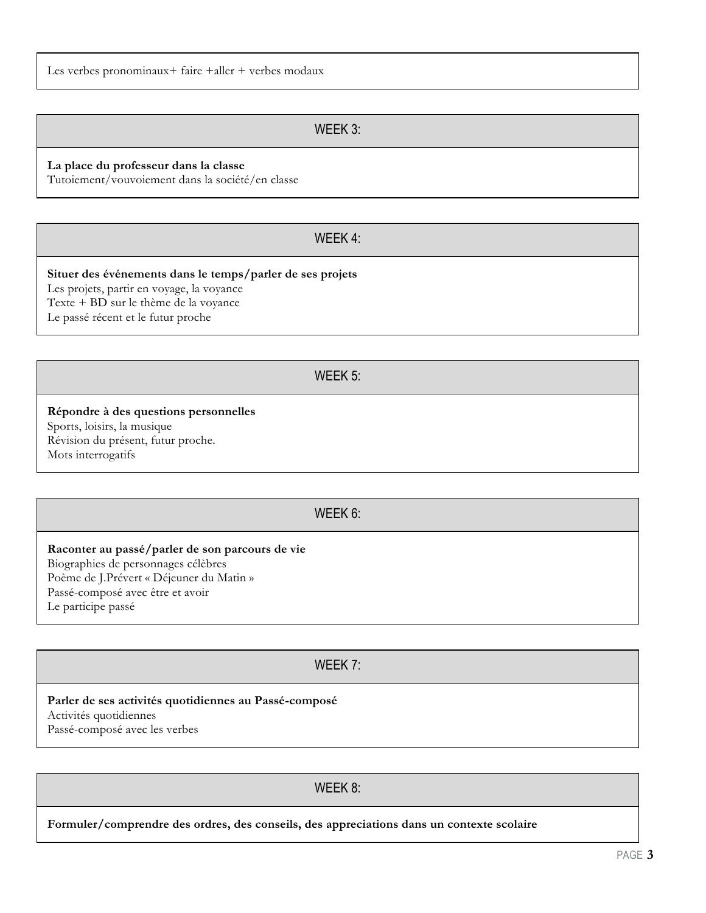**Raconter au passé/parler de son parcours de vie** Biographies de personnages célèbres Poème de J.Prévert « Déjeuner du Matin » Passé-composé avec être et avoir Le participe passé

Mots interrogatifs

WEEK 5:

#### **Répondre à des questions personnelles** Sports, loisirs, la musique

Révision du présent, futur proche.

# WEEK 6:

**Parler de ses activités quotidiennes au Passé-composé** Activités quotidiennes Passé-composé avec les verbes

WEEK 8:

**Formuler/comprendre des ordres, des conseils, des appreciations dans un contexte scolaire**

### Les verbes pronominaux+ faire +aller + verbes modaux

# WEEK 3:

#### **La place du professeur dans la classe**

Tutoiement/vouvoiement dans la société/en classe

# WEEK 4:

# **Situer des événements dans le temps/parler de ses projets**

Les projets, partir en voyage, la voyance Texte + BD sur le thème de la voyance

Le passé récent et le futur proche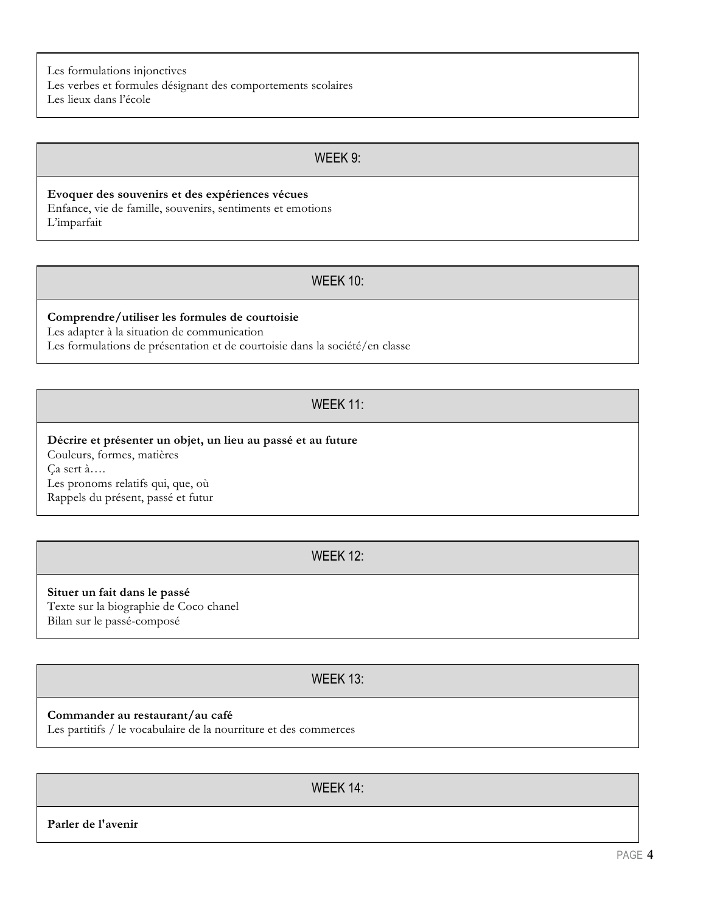Les formulations injonctives Les verbes et formules désignant des comportements scolaires Les lieux dans l'école

### WEEK 9:

**Evoquer des souvenirs et des expériences vécues** Enfance, vie de famille, souvenirs, sentiments et emotions L'imparfait

#### WEEK 10:

#### **Comprendre/utiliser les formules de courtoisie**

Les adapter à la situation de communication

Les formulations de présentation et de courtoisie dans la société/en classe

# WEEK 11:

#### **Décrire et présenter un objet, un lieu au passé et au future** Couleurs, formes, matières Ça sert à…. Les pronoms relatifs qui, que, où Rappels du présent, passé et futur

#### WEEK 12:

**Situer un fait dans le passé** Texte sur la biographie de Coco chanel Bilan sur le passé-composé

## WEEK 13:

#### **Commander au restaurant/au café**

Les partitifs / le vocabulaire de la nourriture et des commerces

WEEK 14:

**Parler de l'avenir**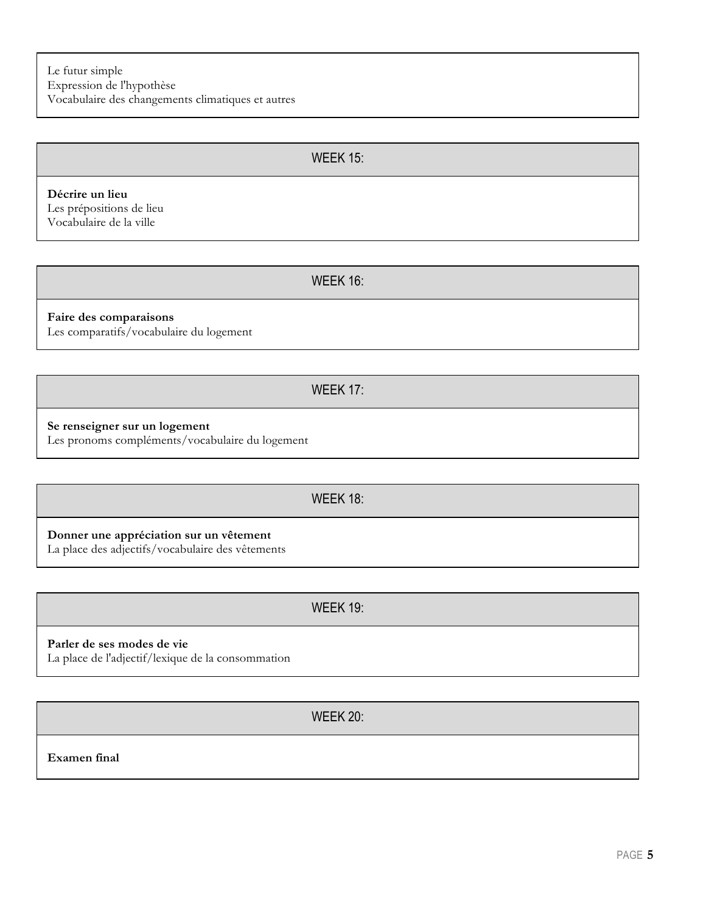#### WEEK 15:

**Décrire un lieu** Les prépositions de lieu Vocabulaire de la ville

WEEK 16:

**Faire des comparaisons**

Les comparatifs/vocabulaire du logement

WEEK 17:

#### **Se renseigner sur un logement**

Les pronoms compléments/vocabulaire du logement

#### WEEK 18:

**Donner une appréciation sur un vêtement**

La place des adjectifs/vocabulaire des vêtements

WEEK 19:

#### **Parler de ses modes de vie**

La place de l'adjectif/lexique de la consommation

WEEK 20:

**Examen final**